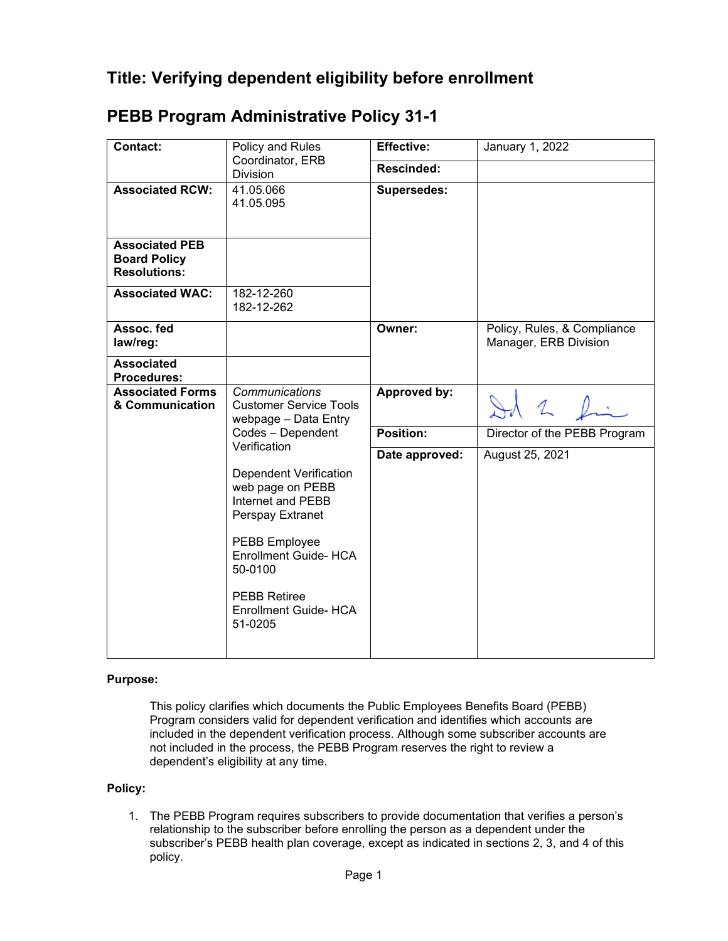| Contact:                                                            | Policy and Rules<br>Coordinator, ERB<br><b>Division</b>                                                      | <b>Effective:</b>  | January 1, 2022                                      |
|---------------------------------------------------------------------|--------------------------------------------------------------------------------------------------------------|--------------------|------------------------------------------------------|
|                                                                     |                                                                                                              | Rescinded:         |                                                      |
| <b>Associated RCW:</b>                                              | 41.05.066<br>41.05.095                                                                                       | <b>Supersedes:</b> |                                                      |
| <b>Associated PEB</b><br><b>Board Policy</b><br><b>Resolutions:</b> |                                                                                                              |                    |                                                      |
| <b>Associated WAC:</b>                                              | 182-12-260<br>182-12-262                                                                                     |                    |                                                      |
| Assoc. fed<br>law/reg:                                              |                                                                                                              | Owner:             | Policy, Rules, & Compliance<br>Manager, ERB Division |
| <b>Associated</b><br><b>Procedures:</b>                             |                                                                                                              |                    |                                                      |
| <b>Associated Forms</b><br>& Communication                          | Communications<br><b>Customer Service Tools</b><br>webpage - Data Entry<br>Codes - Dependent<br>Verification | Approved by:       | $\mathcal{L}$                                        |
|                                                                     |                                                                                                              | Position:          | Director of the PEBB Program                         |
|                                                                     |                                                                                                              | Date approved:     | August 25, 2021                                      |
|                                                                     | <b>Dependent Verification</b><br>web page on PEBB<br>Internet and PEBB<br>Perspay Extranet                   |                    |                                                      |
|                                                                     | PEBB Employee<br>Enrollment Guide- HCA<br>50-0100                                                            |                    |                                                      |
|                                                                     | <b>PEBB Retiree</b><br><b>Enrollment Guide- HCA</b><br>51-0205                                               |                    |                                                      |
|                                                                     |                                                                                                              |                    |                                                      |

## **PEBB Program Administrative Policy 31-1**

## **Purpose:**

This policy clarifies which documents the Public Employees Benefits Board (PEBB) Program considers valid for dependent verification and identifies which accounts are included in the dependent verification process. Although some subscriber accounts are not included in the process, the PEBB Program reserves the right to review a dependent's eligibility at any time.

## **Policy:**

1. The PEBB Program requires subscribers to provide documentation that verifies a person's relationship to the subscriber before enrolling the person as a dependent under the subscriber's PEBB health plan coverage, except as indicated in sections 2, 3, and 4 of this policy.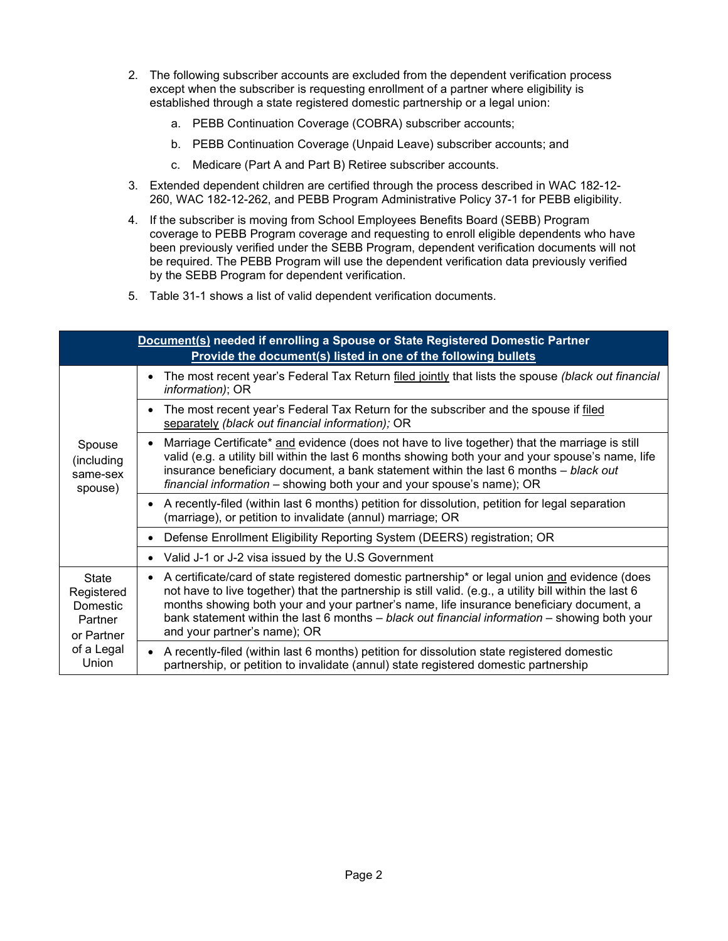- 2. The following subscriber accounts are excluded from the dependent verification process except when the subscriber is requesting enrollment of a partner where eligibility is established through a state registered domestic partnership or a legal union:
	- a. PEBB Continuation Coverage (COBRA) subscriber accounts;
	- b. PEBB Continuation Coverage (Unpaid Leave) subscriber accounts; and
	- c. Medicare (Part A and Part B) Retiree subscriber accounts.
- 3. Extended dependent children are certified through the process described in WAC 182-12- 260, WAC 182-12-262, and PEBB Program Administrative Policy 37-1 for PEBB eligibility.
- 4. If the subscriber is moving from School Employees Benefits Board (SEBB) Program coverage to PEBB Program coverage and requesting to enroll eligible dependents who have been previously verified under the SEBB Program, dependent verification documents will not be required. The PEBB Program will use the dependent verification data previously verified by the SEBB Program for dependent verification.
- 5. Table 31-1 shows a list of valid dependent verification documents.

| Document(s) needed if enrolling a Spouse or State Registered Domestic Partner<br>Provide the document(s) listed in one of the following bullets |                                                                                                                                                                                                                                                                                                                                                                                                                                              |  |  |  |
|-------------------------------------------------------------------------------------------------------------------------------------------------|----------------------------------------------------------------------------------------------------------------------------------------------------------------------------------------------------------------------------------------------------------------------------------------------------------------------------------------------------------------------------------------------------------------------------------------------|--|--|--|
| Spouse<br>(including<br>same-sex<br>spouse)                                                                                                     | The most recent year's Federal Tax Return filed jointly that lists the spouse (black out financial<br>$\bullet$<br><i>information</i> ); OR                                                                                                                                                                                                                                                                                                  |  |  |  |
|                                                                                                                                                 | The most recent year's Federal Tax Return for the subscriber and the spouse if filed<br>$\bullet$<br>separately (black out financial information); OR                                                                                                                                                                                                                                                                                        |  |  |  |
|                                                                                                                                                 | Marriage Certificate* and evidence (does not have to live together) that the marriage is still<br>٠<br>valid (e.g. a utility bill within the last 6 months showing both your and your spouse's name, life<br>insurance beneficiary document, a bank statement within the last 6 months - black out<br>financial information - showing both your and your spouse's name); OR                                                                  |  |  |  |
|                                                                                                                                                 | • A recently-filed (within last 6 months) petition for dissolution, petition for legal separation<br>(marriage), or petition to invalidate (annul) marriage; OR                                                                                                                                                                                                                                                                              |  |  |  |
|                                                                                                                                                 | Defense Enrollment Eligibility Reporting System (DEERS) registration; OR<br>$\bullet$                                                                                                                                                                                                                                                                                                                                                        |  |  |  |
|                                                                                                                                                 | Valid J-1 or J-2 visa issued by the U.S Government<br>٠                                                                                                                                                                                                                                                                                                                                                                                      |  |  |  |
| <b>State</b><br>Registered<br>Domestic<br>Partner<br>or Partner<br>of a Legal<br>Union                                                          | • A certificate/card of state registered domestic partnership* or legal union and evidence (does<br>not have to live together) that the partnership is still valid. (e.g., a utility bill within the last 6<br>months showing both your and your partner's name, life insurance beneficiary document, a<br>bank statement within the last 6 months $-$ black out financial information $-$ showing both your<br>and your partner's name); OR |  |  |  |
|                                                                                                                                                 | A recently-filed (within last 6 months) petition for dissolution state registered domestic<br>partnership, or petition to invalidate (annul) state registered domestic partnership                                                                                                                                                                                                                                                           |  |  |  |